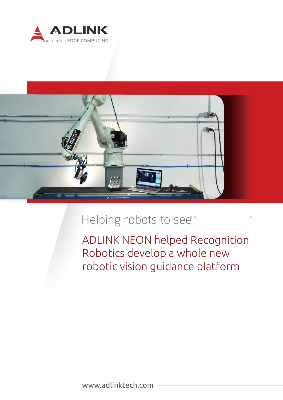



# Helping robots to see<sup>+</sup>

ADLINK NEON helped Recognition Robotics develop a whole new robotic vision guidance platform

www.adlinktech.com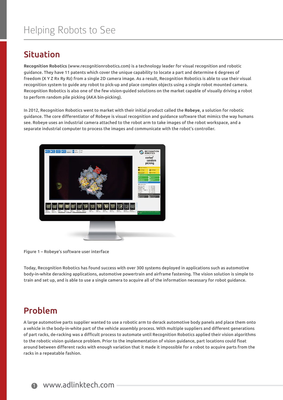### Situation

**Recognition Robotics** (www.recognitionrobotics.com) is a technology leader for visual recognition and robotic guidance. They have 11 patents which cover the unique capability to locate a part and determine 6 degrees of freedom (X Y Z Rx Ry Rz) from a single 2D camera image. As a result, Recognition Robotics is able to use their visual recognition system to guide any robot to pick-up and place complex objects using a single robot mounted camera. Recognition Robotics is also one of the few vision-guided solutions on the market capable of visually driving a robot to perform random pile picking (AKA bin-picking).

In 2012, Recognition Robotics went to market with their initial product called the **Robeye**, a solution for robotic guidance. The core differentiator of Robeye is visual recognition and guidance software that mimics the way humans see. Robeye uses an industrial camera attached to the robot arm to take images of the robot workspace, and a separate industrial computer to process the images and communicate with the robot's controller.



Figure 1 – Robeye's software user interface

Today, Recognition Robotics has found success with over 300 systems deployed in applications such as automotive body-in-white deracking applications, automotive powertrain and airframe fastening. The vision solution is simple to train and set up, and is able to use a single camera to acquire all of the information necessary for robot guidance.

### Problem

A large automotive parts supplier wanted to use a robotic arm to derack automotive body panels and place them onto a vehicle in the body-in-white part of the vehicle assembly process. With multiple suppliers and different generations of part racks, de-racking was a difficult process to automate until Recognition Robotics applied their vision algorithms to the robotic vision guidance problem. Prior to the implementation of vision guidance, part locations could float around between different racks with enough variation that it made it impossible for a robot to acquire parts from the racks in a repeatable fashion.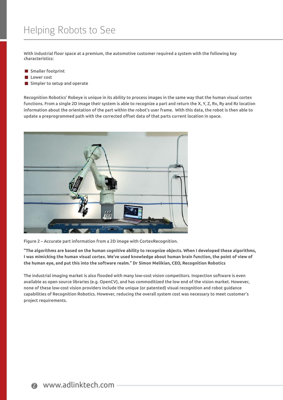With industrial floor space at a premium, the automotive customer required a system with the following key characteristics:

- Smaller footprint
- **Lower** cost
- Simpler to setup and operate

Recognition Robotics' Robeye is unique in its ability to process images in the same way that the human visual cortex functions. From a single 2D image their system is able to recognize a part and return the X, Y, Z, Rx, Ry and Rz location information about the orientation of the part within the robot's user frame. With this data, the robot is then able to update a preprogrammed path with the corrected offset data of that parts current location in space.



Figure 2 – Accurate part information from a 2D image with CortexRecognition.

**"The algorithms are based on the human cognitive ability to recognize objects. When I developed these algorithms, I was mimicking the human visual cortex. We've used knowledge about human brain function, the point of view of the human eye, and put this into the software realm." Dr Simon Melikian, CEO, Recognition Robotics**

The industrial imaging market is also flooded with many low-cost vision competitors. Inspection software is even available as open source libraries (e.g. OpenCV), and has commoditized the low end of the vision market. However, none of these low-cost vision providers include the unique (or patented) visual recognition and robot guidance capabilities of Recognition Robotics. However, reducing the overall system cost was necessary to meet customer's project requirements.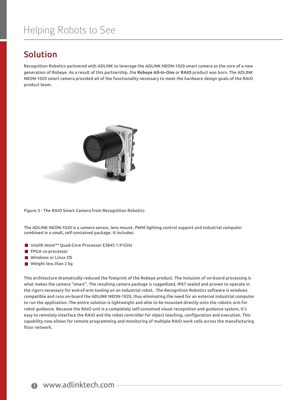## Helping Robots to See

#### Solution

Recognition Robotics partnered with ADLINK to leverage the ADLINK NEON-1020 smart camera as the core of a new generation of Robeye. As a result of this partnership, the **Robeye All-In-One** or **RAIO** product was born. The ADLINK NEON-1020 smart camera provided all of the functionality necessary to meet the hardware design goals of the RAIO product team.



Figure 3 - The RAIO Smart Camera from Recognition Robotics

The ADLINK NEON-1020 is a camera sensor, lens mount, PWM lighting control support and industrial computer combined in a small, self-contained package. It includes:

- Intel® Atom™ Quad-Core Processor E3845 1.91GHz
- **FPGA co-processor**
- **Windows or Linux OS**
- $\blacksquare$  Weight less than 2 kg

This architecture dramatically reduced the footprint of the Robeye product. The inclusion of on-board processing is what makes the camera "smart". The resulting camera package is ruggedized, IP67 sealed and proven to operate in the rigors necessary for end-of-arm tooling on an industrial robot. The Recognition Robotics software is windows compatible and runs on-board the ADLINK NEON-1020, thus eliminating the need for an external industrial computer to run the application. The entire solution is lightweight and able to be mounted directly onto the robotic arm for robot guidance. Because the RAIO unit is a completely self-contained visual recognition and guidance system, it's easy to remotely interface the RAIO and the robot controller for object teaching, configuration and execution. This capability now allows for remote programming and monitoring of multiple RAIO work cells across the manufacturing floor network.

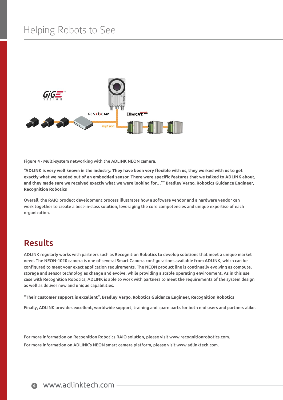## Helping Robots to See



Figure 4 - Multi-system networking with the ADLINK NEON camera.

**"ADLINK is very well known in the industry. They have been very flexible with us, they worked with us to get exactly what we needed out of an embedded sensor. There were specific features that we talked to ADLINK about, and they made sure we received exactly what we were looking for…"" Bradley Vargo, Robotics Guidance Engineer, Recognition Robotics**

Overall, the RAIO product development process illustrates how a software vendor and a hardware vendor can work together to create a best-in-class solution, leveraging the core competencies and unique expertise of each organization.

#### Results

ADLINK regularly works with partners such as Recognition Robotics to develop solutions that meet a unique market need. The NEON-1020 camera is one of several Smart Camera configurations available from ADLINK, which can be configured to meet your exact application requirements. The NEON product line is continually evolving as compute, storage and sensor technologies change and evolve, while providing a stable operating environment. As in this use case with Recognition Robotics, ADLINK is able to work with partners to meet the requirements of the system design as well as deliver new and unique capabilities.

**"Their customer support is excellent", Bradley Vargo, Robotics Guidance Engineer, Recognition Robotics**

Finally, ADLINK provides excellent, worldwide support, training and spare parts for both end users and partners alike.

For more information on Recognition Robotics RAIO solution, please visit www.recognitionrobotics.com. For more information on ADLINK's NEON smart camera platform, please visit www.adlinktech.com.